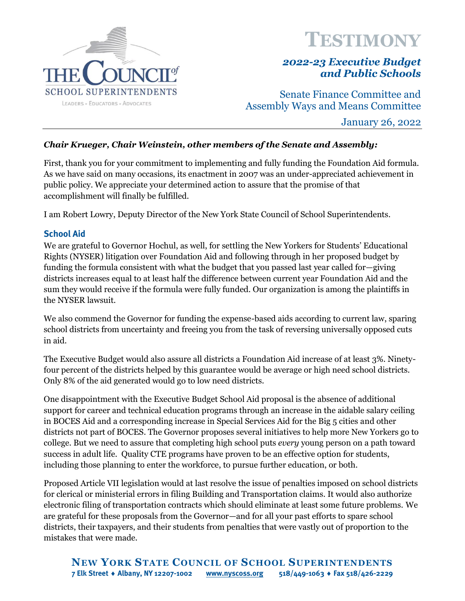

# **TESTIMONY**

## *2022-23 Executive Budget and Public Schools*

Senate Finance Committee and Assembly Ways and Means Committee

January 26, 2022

## *Chair Krueger, Chair Weinstein, other members of the Senate and Assembly:*

First, thank you for your commitment to implementing and fully funding the Foundation Aid formula. As we have said on many occasions, its enactment in 2007 was an under-appreciated achievement in public policy. We appreciate your determined action to assure that the promise of that accomplishment will finally be fulfilled.

I am Robert Lowry, Deputy Director of the New York State Council of School Superintendents.

## **School Aid**

We are grateful to Governor Hochul, as well, for settling the New Yorkers for Students' Educational Rights (NYSER) litigation over Foundation Aid and following through in her proposed budget by funding the formula consistent with what the budget that you passed last year called for—giving districts increases equal to at least half the difference between current year Foundation Aid and the sum they would receive if the formula were fully funded. Our organization is among the plaintiffs in the NYSER lawsuit.

We also commend the Governor for funding the expense-based aids according to current law, sparing school districts from uncertainty and freeing you from the task of reversing universally opposed cuts in aid.

The Executive Budget would also assure all districts a Foundation Aid increase of at least 3%. Ninetyfour percent of the districts helped by this guarantee would be average or high need school districts. Only 8% of the aid generated would go to low need districts.

One disappointment with the Executive Budget School Aid proposal is the absence of additional support for career and technical education programs through an increase in the aidable salary ceiling in BOCES Aid and a corresponding increase in Special Services Aid for the Big 5 cities and other districts not part of BOCES. The Governor proposes several initiatives to help more New Yorkers go to college. But we need to assure that completing high school puts *every* young person on a path toward success in adult life. Quality CTE programs have proven to be an effective option for students, including those planning to enter the workforce, to pursue further education, or both.

Proposed Article VII legislation would at last resolve the issue of penalties imposed on school districts for clerical or ministerial errors in filing Building and Transportation claims. It would also authorize electronic filing of transportation contracts which should eliminate at least some future problems. We are grateful for these proposals from the Governor—and for all your past efforts to spare school districts, their taxpayers, and their students from penalties that were vastly out of proportion to the mistakes that were made.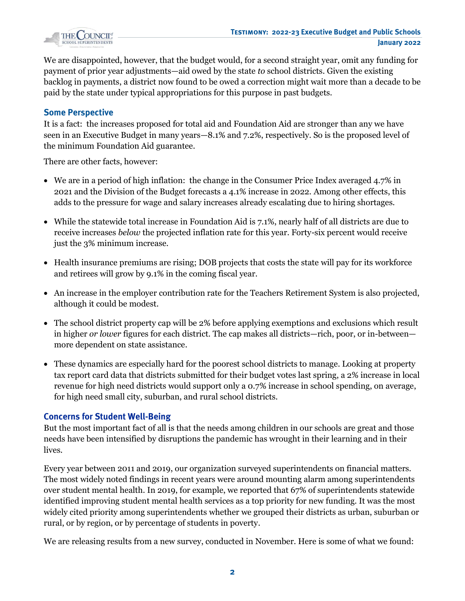

We are disappointed, however, that the budget would, for a second straight year, omit any funding for payment of prior year adjustments—aid owed by the state *to* school districts. Given the existing backlog in payments, a district now found to be owed a correction might wait more than a decade to be paid by the state under typical appropriations for this purpose in past budgets.

### **Some Perspective**

It is a fact: the increases proposed for total aid and Foundation Aid are stronger than any we have seen in an Executive Budget in many years—8.1% and 7.2%, respectively. So is the proposed level of the minimum Foundation Aid guarantee.

There are other facts, however:

- We are in a period of high inflation: the change in the Consumer Price Index averaged 4.7% in 2021 and the Division of the Budget forecasts a 4.1% increase in 2022. Among other effects, this adds to the pressure for wage and salary increases already escalating due to hiring shortages.
- While the statewide total increase in Foundation Aid is 7.1%, nearly half of all districts are due to receive increases *below* the projected inflation rate for this year. Forty-six percent would receive just the 3% minimum increase.
- Health insurance premiums are rising; DOB projects that costs the state will pay for its workforce and retirees will grow by 9.1% in the coming fiscal year.
- An increase in the employer contribution rate for the Teachers Retirement System is also projected, although it could be modest.
- The school district property cap will be 2% before applying exemptions and exclusions which result in higher *or lower* figures for each district. The cap makes all districts—rich, poor, or in-between more dependent on state assistance.
- These dynamics are especially hard for the poorest school districts to manage. Looking at property tax report card data that districts submitted for their budget votes last spring, a 2% increase in local revenue for high need districts would support only a 0.7% increase in school spending, on average, for high need small city, suburban, and rural school districts.

## **Concerns for Student Well-Being**

But the most important fact of all is that the needs among children in our schools are great and those needs have been intensified by disruptions the pandemic has wrought in their learning and in their lives.

Every year between 2011 and 2019, our organization surveyed superintendents on financial matters. The most widely noted findings in recent years were around mounting alarm among superintendents over student mental health. In 2019, for example, we reported that 67% of superintendents statewide identified improving student mental health services as a top priority for new funding. It was the most widely cited priority among superintendents whether we grouped their districts as urban, suburban or rural, or by region, or by percentage of students in poverty.

We are releasing results from a new survey, conducted in November. Here is some of what we found: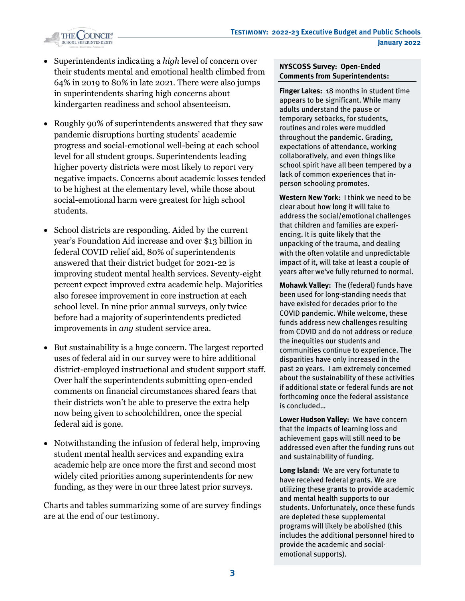

- Superintendents indicating a *high* level of concern over their students mental and emotional health climbed from 64% in 2019 to 80% in late 2021. There were also jumps in superintendents sharing high concerns about kindergarten readiness and school absenteeism.
- Roughly 90% of superintendents answered that they saw pandemic disruptions hurting students' academic progress and social-emotional well-being at each school level for all student groups. Superintendents leading higher poverty districts were most likely to report very negative impacts. Concerns about academic losses tended to be highest at the elementary level, while those about social-emotional harm were greatest for high school students.
- School districts are responding. Aided by the current year's Foundation Aid increase and over \$13 billion in federal COVID relief aid, 80% of superintendents answered that their district budget for 2021-22 is improving student mental health services. Seventy-eight percent expect improved extra academic help. Majorities also foresee improvement in core instruction at each school level. In nine prior annual surveys, only twice before had a majority of superintendents predicted improvements in *any* student service area.
- But sustainability is a huge concern. The largest reported uses of federal aid in our survey were to hire additional district-employed instructional and student support staff. Over half the superintendents submitting open-ended comments on financial circumstances shared fears that their districts won't be able to preserve the extra help now being given to schoolchildren, once the special federal aid is gone.
- Notwithstanding the infusion of federal help, improving student mental health services and expanding extra academic help are once more the first and second most widely cited priorities among superintendents for new funding, as they were in our three latest prior surveys.

Charts and tables summarizing some of are survey findings are at the end of our testimony.

#### **NYSCOSS Survey: Open-Ended Comments from Superintendents:**

**Finger Lakes:** 18 months in student time appears to be significant. While many adults understand the pause or temporary setbacks, for students, routines and roles were muddled throughout the pandemic. Grading, expectations of attendance, working collaboratively, and even things like school spirit have all been tempered by a lack of common experiences that inperson schooling promotes.

**Western New York:** I think we need to be clear about how long it will take to address the social/emotional challenges that children and families are experiencing. It is quite likely that the unpacking of the trauma, and dealing with the often volatile and unpredictable impact of it, will take at least a couple of years after we've fully returned to normal.

**Mohawk Valley:** The (federal) funds have been used for long-standing needs that have existed for decades prior to the COVID pandemic. While welcome, these funds address new challenges resulting from COVID and do not address or reduce the inequities our students and communities continue to experience. The disparities have only increased in the past 20 years. I am extremely concerned about the sustainability of these activities if additional state or federal funds are not forthcoming once the federal assistance is concluded…

**Lower Hudson Valley:** We have concern that the impacts of learning loss and achievement gaps will still need to be addressed even after the funding runs out and sustainability of funding.

**Long Island:** We are very fortunate to have received federal grants. We are utilizing these grants to provide academic and mental health supports to our students. Unfortunately, once these funds are depleted these supplemental programs will likely be abolished (this includes the additional personnel hired to provide the academic and socialemotional supports).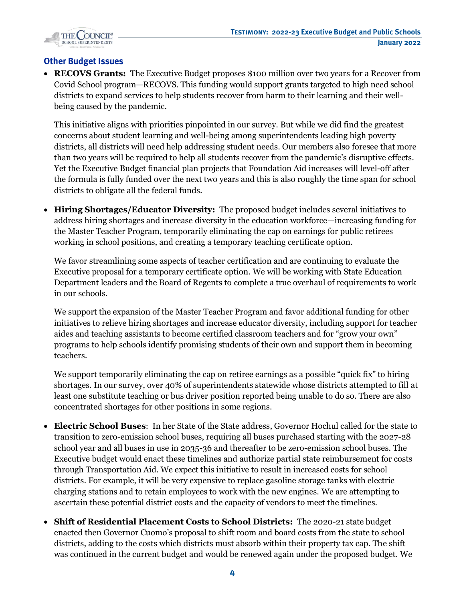

## **Other Budget Issues**

• **RECOVS Grants:** The Executive Budget proposes \$100 million over two years for a Recover from Covid School program—RECOVS. This funding would support grants targeted to high need school districts to expand services to help students recover from harm to their learning and their wellbeing caused by the pandemic.

This initiative aligns with priorities pinpointed in our survey. But while we did find the greatest concerns about student learning and well-being among superintendents leading high poverty districts, all districts will need help addressing student needs. Our members also foresee that more than two years will be required to help all students recover from the pandemic's disruptive effects. Yet the Executive Budget financial plan projects that Foundation Aid increases will level-off after the formula is fully funded over the next two years and this is also roughly the time span for school districts to obligate all the federal funds.

• **Hiring Shortages/Educator Diversity:** The proposed budget includes several initiatives to address hiring shortages and increase diversity in the education workforce—increasing funding for the Master Teacher Program, temporarily eliminating the cap on earnings for public retirees working in school positions, and creating a temporary teaching certificate option.

We favor streamlining some aspects of teacher certification and are continuing to evaluate the Executive proposal for a temporary certificate option. We will be working with State Education Department leaders and the Board of Regents to complete a true overhaul of requirements to work in our schools.

We support the expansion of the Master Teacher Program and favor additional funding for other initiatives to relieve hiring shortages and increase educator diversity, including support for teacher aides and teaching assistants to become certified classroom teachers and for "grow your own" programs to help schools identify promising students of their own and support them in becoming teachers.

We support temporarily eliminating the cap on retiree earnings as a possible "quick fix" to hiring shortages. In our survey, over 40% of superintendents statewide whose districts attempted to fill at least one substitute teaching or bus driver position reported being unable to do so. There are also concentrated shortages for other positions in some regions.

- **Electric School Buses**: In her State of the State address, Governor Hochul called for the state to transition to zero-emission school buses, requiring all buses purchased starting with the 2027-28 school year and all buses in use in 2035-36 and thereafter to be zero-emission school buses. The Executive budget would enact these timelines and authorize partial state reimbursement for costs through Transportation Aid. We expect this initiative to result in increased costs for school districts. For example, it will be very expensive to replace gasoline storage tanks with electric charging stations and to retain employees to work with the new engines. We are attempting to ascertain these potential district costs and the capacity of vendors to meet the timelines.
- **Shift of Residential Placement Costs to School Districts:** The 2020-21 state budget enacted then Governor Cuomo's proposal to shift room and board costs from the state to school districts, adding to the costs which districts must absorb within their property tax cap. The shift was continued in the current budget and would be renewed again under the proposed budget. We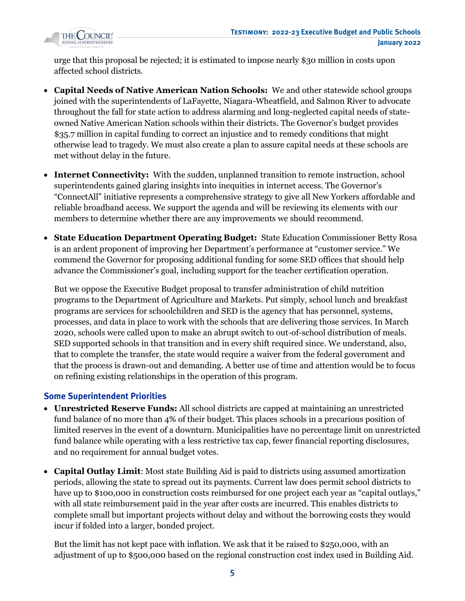

urge that this proposal be rejected; it is estimated to impose nearly \$30 million in costs upon affected school districts.

- **Capital Needs of Native American Nation Schools:** We and other statewide school groups joined with the superintendents of LaFayette, Niagara-Wheatfield, and Salmon River to advocate throughout the fall for state action to address alarming and long-neglected capital needs of stateowned Native American Nation schools within their districts. The Governor's budget provides \$35.7 million in capital funding to correct an injustice and to remedy conditions that might otherwise lead to tragedy. We must also create a plan to assure capital needs at these schools are met without delay in the future.
- **Internet Connectivity:** With the sudden, unplanned transition to remote instruction, school superintendents gained glaring insights into inequities in internet access. The Governor's "ConnectAll" initiative represents a comprehensive strategy to give all New Yorkers affordable and reliable broadband access. We support the agenda and will be reviewing its elements with our members to determine whether there are any improvements we should recommend.
- **State Education Department Operating Budget:** State Education Commissioner Betty Rosa is an ardent proponent of improving her Department's performance at "customer service." We commend the Governor for proposing additional funding for some SED offices that should help advance the Commissioner's goal, including support for the teacher certification operation.

But we oppose the Executive Budget proposal to transfer administration of child nutrition programs to the Department of Agriculture and Markets. Put simply, school lunch and breakfast programs are services for schoolchildren and SED is the agency that has personnel, systems, processes, and data in place to work with the schools that are delivering those services. In March 2020, schools were called upon to make an abrupt switch to out-of-school distribution of meals. SED supported schools in that transition and in every shift required since. We understand, also, that to complete the transfer, the state would require a waiver from the federal government and that the process is drawn-out and demanding. A better use of time and attention would be to focus on refining existing relationships in the operation of this program.

## **Some Superintendent Priorities**

- **Unrestricted Reserve Funds:** All school districts are capped at maintaining an unrestricted fund balance of no more than 4% of their budget. This places schools in a precarious position of limited reserves in the event of a downturn. Municipalities have no percentage limit on unrestricted fund balance while operating with a less restrictive tax cap, fewer financial reporting disclosures, and no requirement for annual budget votes.
- **Capital Outlay Limit**: Most state Building Aid is paid to districts using assumed amortization periods, allowing the state to spread out its payments. Current law does permit school districts to have up to \$100,000 in construction costs reimbursed for one project each year as "capital outlays," with all state reimbursement paid in the year after costs are incurred. This enables districts to complete small but important projects without delay and without the borrowing costs they would incur if folded into a larger, bonded project.

But the limit has not kept pace with inflation. We ask that it be raised to \$250,000, with an adjustment of up to \$500,000 based on the regional construction cost index used in Building Aid.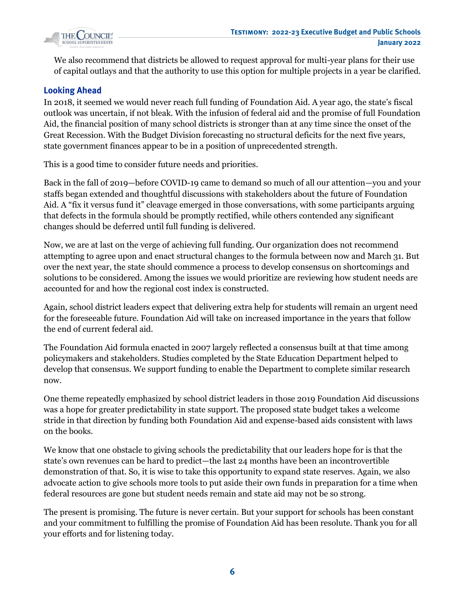

We also recommend that districts be allowed to request approval for multi-year plans for their use of capital outlays and that the authority to use this option for multiple projects in a year be clarified.

## **Looking Ahead**

In 2018, it seemed we would never reach full funding of Foundation Aid. A year ago, the state's fiscal outlook was uncertain, if not bleak. With the infusion of federal aid and the promise of full Foundation Aid, the financial position of many school districts is stronger than at any time since the onset of the Great Recession. With the Budget Division forecasting no structural deficits for the next five years, state government finances appear to be in a position of unprecedented strength.

This is a good time to consider future needs and priorities.

Back in the fall of 2019—before COVID-19 came to demand so much of all our attention—you and your staffs began extended and thoughtful discussions with stakeholders about the future of Foundation Aid. A "fix it versus fund it" cleavage emerged in those conversations, with some participants arguing that defects in the formula should be promptly rectified, while others contended any significant changes should be deferred until full funding is delivered.

Now, we are at last on the verge of achieving full funding. Our organization does not recommend attempting to agree upon and enact structural changes to the formula between now and March 31. But over the next year, the state should commence a process to develop consensus on shortcomings and solutions to be considered. Among the issues we would prioritize are reviewing how student needs are accounted for and how the regional cost index is constructed.

Again, school district leaders expect that delivering extra help for students will remain an urgent need for the foreseeable future. Foundation Aid will take on increased importance in the years that follow the end of current federal aid.

The Foundation Aid formula enacted in 2007 largely reflected a consensus built at that time among policymakers and stakeholders. Studies completed by the State Education Department helped to develop that consensus. We support funding to enable the Department to complete similar research now.

One theme repeatedly emphasized by school district leaders in those 2019 Foundation Aid discussions was a hope for greater predictability in state support. The proposed state budget takes a welcome stride in that direction by funding both Foundation Aid and expense-based aids consistent with laws on the books.

We know that one obstacle to giving schools the predictability that our leaders hope for is that the state's own revenues can be hard to predict—the last 24 months have been an incontrovertible demonstration of that. So, it is wise to take this opportunity to expand state reserves. Again, we also advocate action to give schools more tools to put aside their own funds in preparation for a time when federal resources are gone but student needs remain and state aid may not be so strong.

The present is promising. The future is never certain. But your support for schools has been constant and your commitment to fulfilling the promise of Foundation Aid has been resolute. Thank you for all your efforts and for listening today.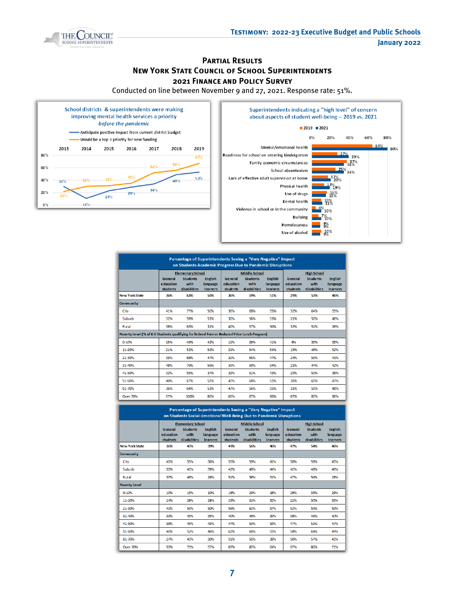

#### **Partial Results NEW YORK STATE COUNCIL OF SCHOOL SUPERINTENDENTS 2021 Finance and Policy Survey**

Conducted on line between November 9 and 27, 2021. Response rate: 51%.



| Percentage of Superintendents Seeing a "Very Negative" Impact<br>on Students Academic Progress Due to Pandemic Disruptions |                                  |                                                                     |                                        |                                  |                                                                 |                                        |                                  |                                                               |                                        |  |
|----------------------------------------------------------------------------------------------------------------------------|----------------------------------|---------------------------------------------------------------------|----------------------------------------|----------------------------------|-----------------------------------------------------------------|----------------------------------------|----------------------------------|---------------------------------------------------------------|----------------------------------------|--|
|                                                                                                                            | General<br>education<br>students | <b>Elementary School</b><br><b>Students</b><br>with<br>disabilities | <b>English</b><br>language<br>learners | General<br>education<br>students | <b>Middle School</b><br><b>Students</b><br>with<br>disabilities | <b>English</b><br>language<br>learners | General<br>education<br>students | <b>High School</b><br><b>Students</b><br>with<br>disabilities | <b>English</b><br>language<br>learners |  |
| <b>New York State</b>                                                                                                      | 36%                              | 63%                                                                 | 50%                                    | 36%                              | 59%                                                             | 51%                                    | 29%                              | 53%                                                           | 46%                                    |  |
| Community                                                                                                                  |                                  |                                                                     |                                        |                                  |                                                                 |                                        |                                  |                                                               |                                        |  |
| City                                                                                                                       | 41%                              | 77%                                                                 | 50%                                    | 36%                              | 68%                                                             | 55%                                    | 32%                              | 64%                                                           | 55%                                    |  |
| Suburb                                                                                                                     | 32%                              | 59%                                                                 | 53%                                    | 30%                              | 56%                                                             | 53%                                    | 21%                              | 50%                                                           | 46%                                    |  |
| Rural                                                                                                                      | 38%                              | 63%                                                                 | 31%                                    | 40%                              | 57%                                                             | 30%                                    | 32%                              | 51%                                                           | 26%                                    |  |
| Poverty Level (% of K-6 Students qualifying for federal Free or Reduced Price Lunch Program)                               |                                  |                                                                     |                                        |                                  |                                                                 |                                        |                                  |                                                               |                                        |  |
| $0 - 10%$                                                                                                                  | 15%                              | 40%                                                                 | 42%                                    | 11%                              | 29%                                                             | 41%                                    | 6%                               | 35%                                                           | 35%                                    |  |
| 11-20%                                                                                                                     | 21%                              | 52%                                                                 | 52%                                    | 21%                              | 54%                                                             | 54%                                    | 15%                              | 48%                                                           | 52%                                    |  |
| 21-30%                                                                                                                     | 35%                              | 68%                                                                 | 47%                                    | 32%                              | 65%                                                             | 47%                                    | 24%                              | 55%                                                           | 41%                                    |  |
| 31-40%                                                                                                                     | 48%                              | 70%                                                                 | 56%                                    | 33%                              | 59%                                                             | 54%                                    | 21%                              | 44%                                                           | 42%                                    |  |
| 41-50%                                                                                                                     | 32%                              | 55%                                                                 | 37%                                    | 31%                              | 51%                                                             | 43%                                    | 29%                              | 53%                                                           | 38%                                    |  |
| 51-60%                                                                                                                     | 40%                              | 67%                                                                 | 52%                                    | 47%                              | 68%                                                             | 52%                                    | 38%                              | 60%                                                           | 47%                                    |  |
| 61-70%                                                                                                                     | 36%                              | 64%                                                                 | 53%                                    | 47%                              | 56%                                                             | 55%                                    | 31%                              | 50%                                                           | 48%                                    |  |
| <b>Over 70%</b>                                                                                                            | 67%                              | 100%                                                                | 86%                                    | 60%                              | 87%                                                             | 86%                                    | 67%                              | 87%                                                           | 86%                                    |  |

| Percentage of Superintendents Seeing a "Very Negative" Impact<br>on Students Social-Emotional Well-Being Due to Pandemic Disruptions |                                  |                                                                     |                                       |                                  |                                                                 |                                        |                                  |                                                                      |                                        |  |
|--------------------------------------------------------------------------------------------------------------------------------------|----------------------------------|---------------------------------------------------------------------|---------------------------------------|----------------------------------|-----------------------------------------------------------------|----------------------------------------|----------------------------------|----------------------------------------------------------------------|----------------------------------------|--|
|                                                                                                                                      | General<br>education<br>students | <b>Elementary School</b><br><b>Students</b><br>with<br>disabilities | <b>English</b><br>language<br>leamers | General<br>education<br>students | <b>Middle School</b><br><b>Students</b><br>with<br>disabilities | <b>English</b><br>language<br>learners | General<br>education<br>students | <b>High School</b><br><b>Students</b><br>with<br><b>disabilities</b> | <b>English</b><br>language<br>learners |  |
| <b>New York State</b>                                                                                                                | 36%                              | 45%                                                                 | 39%                                   | 49%                              | 56%                                                             | 46%                                    | 47%                              | 54%                                                                  | 46%                                    |  |
| <b>Community</b>                                                                                                                     |                                  |                                                                     |                                       |                                  |                                                                 |                                        |                                  |                                                                      |                                        |  |
| City                                                                                                                                 | 41%                              | 55%                                                                 | 36%                                   | 55%                              | 59%                                                             | 41%                                    | 50%                              | 59%                                                                  | 45%                                    |  |
| Suburb                                                                                                                               | 33%                              | 41%                                                                 | 39%                                   | 42%                              | 48%                                                             | 44%                                    | 42%                              | 48%                                                                  | 46%                                    |  |
| Rural                                                                                                                                | 37%                              | 46%                                                                 | 26%                                   | 51%                              | 58%                                                             | 31%                                    | 47%                              | 54%                                                                  | 28%                                    |  |
| <b>Poverty Level</b>                                                                                                                 |                                  |                                                                     |                                       |                                  |                                                                 |                                        |                                  |                                                                      |                                        |  |
| 0-10%                                                                                                                                | 10%                              | 15%                                                                 | 10%                                   | 18%                              | 29%                                                             | 18%                                    | 29%                              | 35%                                                                  | 29%                                    |  |
| 11-20%                                                                                                                               | 24%                              | 28%                                                                 | 28%                                   | 25%                              | 32%                                                             | 32%                                    | 22%                              | 30%                                                                  | 33%                                    |  |
| 21-30%                                                                                                                               | 41%                              | 53%                                                                 | 50%                                   | 56%                              | 62%                                                             | 57%                                    | 52%                              | 59%                                                                  | 59%                                    |  |
| 31-40%                                                                                                                               | 33%                              | 45%                                                                 | 35%                                   | 40%                              | 48%                                                             | 39%                                    | 38%                              | 46%                                                                  | 40%                                    |  |
| 41-50%                                                                                                                               | 38%                              | 45%                                                                 | 43%                                   | 47%                              | 53%                                                             | 53%                                    | 47%                              | 51%                                                                  | 47%                                    |  |
| 51-60%                                                                                                                               | 46%                              | 52%                                                                 | 46%                                   | 62%                              | 68%                                                             | 53%                                    | 58%                              | 64%                                                                  | 49%                                    |  |
| 61-70%                                                                                                                               | 27%                              | 43%                                                                 | 30%                                   | 51%                              | 56%                                                             | 38%                                    | 50%                              | 57%                                                                  | 41%                                    |  |
| Over 70%                                                                                                                             | 53%                              | 73%                                                                 | 57%                                   | 67%                              | 87%                                                             | 64%                                    | 67%                              | 80%                                                                  | 71%                                    |  |